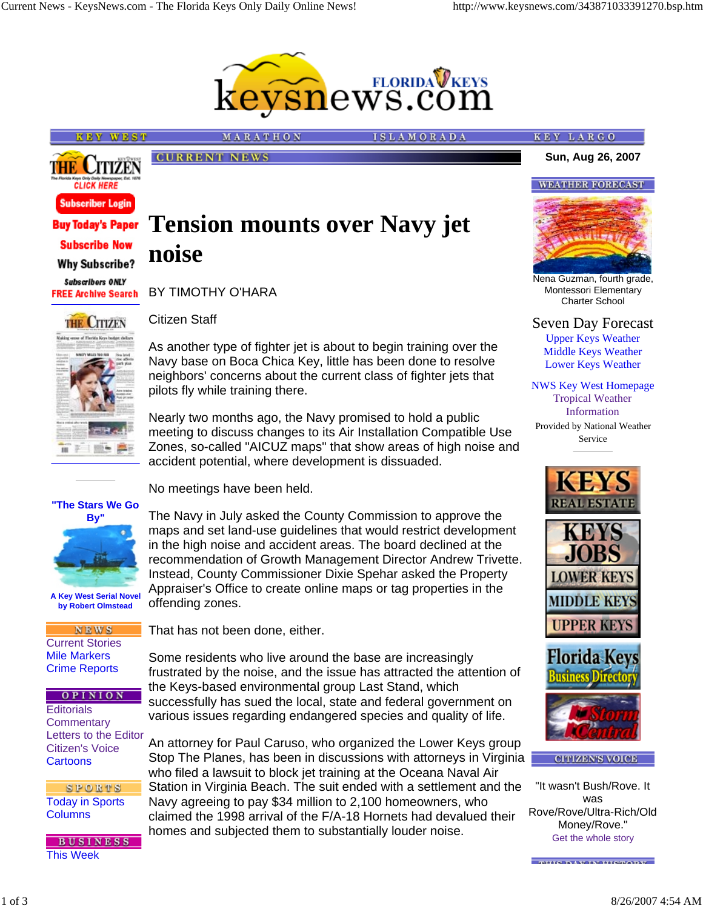

**KEY WEST** 

MARATHON **CURRENT NEWS** 

BY TIMOTHY O'HARA

**ISLAMORADA** 

**KEY LARGO** 



Citizen Staff

**noise**

As another type of fighter jet is about to begin training over the Navy base on Boca Chica Key, little has been done to resolve neighbors' concerns about the current class of fighter jets that pilots fly while training there.

**Tension mounts over Navy jet** 

Nearly two months ago, the Navy promised to hold a public meeting to discuss changes to its Air Installation Compatible Use Zones, so-called "AICUZ maps" that show areas of high noise and accident potential, where development is dissuaded.

# **"The Stars We Go By"**

**EBI** 

**A Key West Serial Novel by Robert Olmstead**

**NEWS** Current Stories Mile Markers Crime Reports

### **OPINION**

**Editorials Commentary** Letters to the Editor Citizen's Voice **Cartoons** 

SPORTS Today in Sports **Columns** 

**BUSINESS** This Week

No meetings have been held.

The Navy in July asked the County Commission to approve the maps and set land-use guidelines that would restrict development in the high noise and accident areas. The board declined at the recommendation of Growth Management Director Andrew Trivette. Instead, County Commissioner Dixie Spehar asked the Property Appraiser's Office to create online maps or tag properties in the offending zones.

That has not been done, either.

Some residents who live around the base are increasingly frustrated by the noise, and the issue has attracted the attention of the Keys-based environmental group Last Stand, which successfully has sued the local, state and federal government on various issues regarding endangered species and quality of life.

An attorney for Paul Caruso, who organized the Lower Keys group Stop The Planes, has been in discussions with attorneys in Virginia who filed a lawsuit to block jet training at the Oceana Naval Air Station in Virginia Beach. The suit ended with a settlement and the Navy agreeing to pay \$34 million to 2,100 homeowners, who claimed the 1998 arrival of the F/A-18 Hornets had devalued their homes and subjected them to substantially louder noise.



**Sun, Aug 26, 2007**

Nena Guzman, fourth grade, Montessori Elementary Charter School

Seven Day Forecast Upper Keys Weather Middle Keys Weather Lower Keys Weather

NWS Key West Homepage Tropical Weather Information

Provided by National Weather Service







**CITIZEN'S VOICE** 

"It wasn't Bush/Rove. It was Rove/Rove/Ultra-Rich/Old Money/Rove." Get the whole story

**ETTER IN AN IN THERMANY**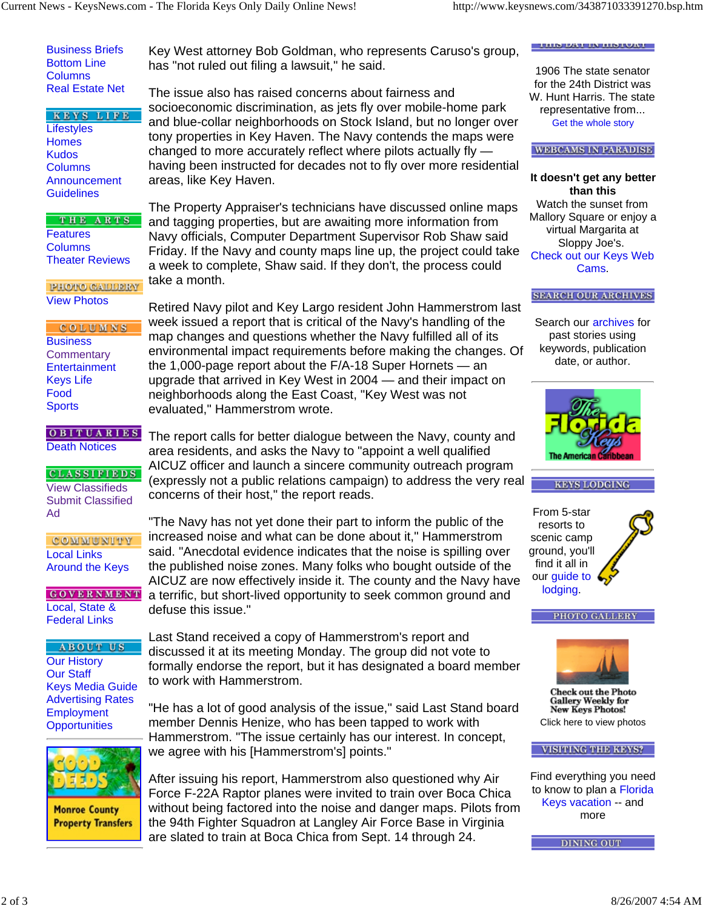| тив тат в нь год<br><b>Business Briefs</b><br>Key West attorney Bob Goldman, who represents Caruso's group,<br><b>Bottom Line</b><br>has "not ruled out filing a lawsuit," he said.<br>1906 The state senator<br><b>Columns</b><br>for the 24th District was<br><b>Real Estate Net</b><br>The issue also has raised concerns about fairness and<br>W. Hunt Harris. The state<br>socioeconomic discrimination, as jets fly over mobile-home park<br>representative from<br><b>KEYS LIFE</b><br>and blue-collar neighborhoods on Stock Island, but no longer over<br>Get the whole story<br><b>Lifestyles</b><br>tony properties in Key Haven. The Navy contends the maps were<br><b>Homes</b><br><b>WEBCAMS IN PARADISE</b><br>changed to more accurately reflect where pilots actually fly -<br><b>Kudos</b><br>having been instructed for decades not to fly over more residential<br><b>Columns</b><br>It doesn't get any better<br>areas, like Key Haven.<br>Announcement<br>than this<br><b>Guidelines</b><br>Watch the sunset from<br>The Property Appraiser's technicians have discussed online maps<br>Mallory Square or enjoy a<br>THE ARTS<br>and tagging properties, but are awaiting more information from<br>virtual Margarita at<br><b>Features</b><br>Navy officials, Computer Department Supervisor Rob Shaw said<br>Sloppy Joe's.<br><b>Columns</b><br>Friday. If the Navy and county maps line up, the project could take<br><b>Check out our Keys Web</b><br><b>Theater Reviews</b><br>a week to complete, Shaw said. If they don't, the process could<br>Cams.<br>take a month.<br><b>PHOTO GALLERY</b><br><b>SEARCH OUR ARCHIVES</b><br><b>View Photos</b><br>Retired Navy pilot and Key Largo resident John Hammerstrom last<br>week issued a report that is critical of the Navy's handling of the<br>Search our archives for |  |
|-----------------------------------------------------------------------------------------------------------------------------------------------------------------------------------------------------------------------------------------------------------------------------------------------------------------------------------------------------------------------------------------------------------------------------------------------------------------------------------------------------------------------------------------------------------------------------------------------------------------------------------------------------------------------------------------------------------------------------------------------------------------------------------------------------------------------------------------------------------------------------------------------------------------------------------------------------------------------------------------------------------------------------------------------------------------------------------------------------------------------------------------------------------------------------------------------------------------------------------------------------------------------------------------------------------------------------------------------------------------------------------------------------------------------------------------------------------------------------------------------------------------------------------------------------------------------------------------------------------------------------------------------------------------------------------------------------------------------------------------------------------------------------------------------------------------------------------------------------|--|
|                                                                                                                                                                                                                                                                                                                                                                                                                                                                                                                                                                                                                                                                                                                                                                                                                                                                                                                                                                                                                                                                                                                                                                                                                                                                                                                                                                                                                                                                                                                                                                                                                                                                                                                                                                                                                                                     |  |
|                                                                                                                                                                                                                                                                                                                                                                                                                                                                                                                                                                                                                                                                                                                                                                                                                                                                                                                                                                                                                                                                                                                                                                                                                                                                                                                                                                                                                                                                                                                                                                                                                                                                                                                                                                                                                                                     |  |
| <b>COLUMNS</b><br>past stories using<br>map changes and questions whether the Navy fulfilled all of its<br><b>Business</b><br>keywords, publication<br>environmental impact requirements before making the changes. Of<br>Commentary<br>date, or author.<br>the 1,000-page report about the $F/A-18$ Super Hornets — an<br>Entertainment<br>upgrade that arrived in Key West in 2004 - and their impact on<br><b>Keys Life</b><br>Food<br>neighborhoods along the East Coast, "Key West was not<br><b>Sports</b><br>evaluated," Hammerstrom wrote.                                                                                                                                                                                                                                                                                                                                                                                                                                                                                                                                                                                                                                                                                                                                                                                                                                                                                                                                                                                                                                                                                                                                                                                                                                                                                                  |  |
| <b>OBITUARIES</b><br>The report calls for better dialogue between the Navy, county and<br><b>Death Notices</b><br>area residents, and asks the Navy to "appoint a well qualified<br>AICUZ officer and launch a sincere community outreach program<br><b>CLASSIFIEDS</b><br>(expressly not a public relations campaign) to address the very real<br><b>KEYS LODGING</b><br><b>View Classifieds</b><br>concerns of their host," the report reads.<br><b>Submit Classified</b>                                                                                                                                                                                                                                                                                                                                                                                                                                                                                                                                                                                                                                                                                                                                                                                                                                                                                                                                                                                                                                                                                                                                                                                                                                                                                                                                                                         |  |
| From 5-star<br>Ad<br>"The Navy has not yet done their part to inform the public of the<br>resorts to<br>increased noise and what can be done about it," Hammerstrom<br>scenic camp<br><u>COMMUNITY</u><br>said. "Anecdotal evidence indicates that the noise is spilling over<br>ground, you'll<br><b>Local Links</b><br>find it all in<br>the published noise zones. Many folks who bought outside of the<br><b>Around the Keys</b><br>our guide to<br>AICUZ are now effectively inside it. The county and the Navy have<br>lodging<br><b>GOVERNMENT</b><br>a terrific, but short-lived opportunity to seek common ground and<br>Local, State &<br>defuse this issue."<br>PHOTO GALLERY<br><b>Federal Links</b>                                                                                                                                                                                                                                                                                                                                                                                                                                                                                                                                                                                                                                                                                                                                                                                                                                                                                                                                                                                                                                                                                                                                    |  |
| Last Stand received a copy of Hammerstrom's report and<br><b>ABOUT US</b><br>discussed it at its meeting Monday. The group did not vote to<br><b>Our History</b><br>formally endorse the report, but it has designated a board member<br><b>Our Staff</b><br>to work with Hammerstrom.<br><b>Keys Media Guide</b><br>Check out the Photo                                                                                                                                                                                                                                                                                                                                                                                                                                                                                                                                                                                                                                                                                                                                                                                                                                                                                                                                                                                                                                                                                                                                                                                                                                                                                                                                                                                                                                                                                                            |  |
| <b>Advertising Rates</b><br><b>Gallery Weekly for</b><br>"He has a lot of good analysis of the issue," said Last Stand board<br>New Keys Photos!<br><b>Employment</b><br>member Dennis Henize, who has been tapped to work with<br>Click here to view photos<br><b>Opportunities</b><br>Hammerstrom. "The issue certainly has our interest. In concept,<br><b>VISITING THE KEYS?</b><br>we agree with his [Hammerstrom's] points."                                                                                                                                                                                                                                                                                                                                                                                                                                                                                                                                                                                                                                                                                                                                                                                                                                                                                                                                                                                                                                                                                                                                                                                                                                                                                                                                                                                                                  |  |
| Find everything you need<br>After issuing his report, Hammerstrom also questioned why Air<br>to know to plan a Florida<br>Force F-22A Raptor planes were invited to train over Boca Chica<br>Keys vacation -- and<br>without being factored into the noise and danger maps. Pilots from<br><b>Monroe County</b><br>more<br>the 94th Fighter Squadron at Langley Air Force Base in Virginia<br><b>Property Transfers</b><br>are slated to train at Boca Chica from Sept. 14 through 24.                                                                                                                                                                                                                                                                                                                                                                                                                                                                                                                                                                                                                                                                                                                                                                                                                                                                                                                                                                                                                                                                                                                                                                                                                                                                                                                                                              |  |

**DINING OUT**